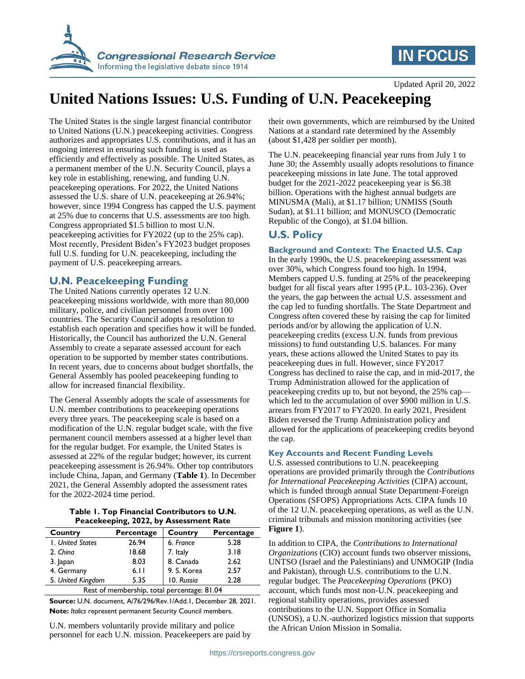

# **IN FOCUS**

Updated April 20, 2022

# **United Nations Issues: U.S. Funding of U.N. Peacekeeping**

The United States is the single largest financial contributor to United Nations (U.N.) peacekeeping activities. Congress authorizes and appropriates U.S. contributions, and it has an ongoing interest in ensuring such funding is used as efficiently and effectively as possible. The United States, as a permanent member of the U.N. Security Council, plays a key role in establishing, renewing, and funding U.N. peacekeeping operations. For 2022, the United Nations assessed the U.S. share of U.N. peacekeeping at 26.94%; however, since 1994 Congress has capped the U.S. payment at 25% due to concerns that U.S. assessments are too high. Congress appropriated \$1.5 billion to most U.N. peacekeeping activities for FY2022 (up to the 25% cap). Most recently, President Biden's FY2023 budget proposes full U.S. funding for U.N. peacekeeping, including the payment of U.S. peacekeeping arrears.

## **U.N. Peacekeeping Funding**

The United Nations currently operates 12 U.N. peacekeeping missions worldwide, with more than 80,000 military, police, and civilian personnel from over 100 countries. The Security Council adopts a resolution to establish each operation and specifies how it will be funded. Historically, the Council has authorized the U.N. General Assembly to create a separate assessed account for each operation to be supported by member states contributions. In recent years, due to concerns about budget shortfalls, the General Assembly has pooled peacekeeping funding to allow for increased financial flexibility.

The General Assembly adopts the scale of assessments for U.N. member contributions to peacekeeping operations every three years. The peacekeeping scale is based on a modification of the U.N. regular budget scale, with the five permanent council members assessed at a higher level than for the regular budget. For example, the United States is assessed at 22% of the regular budget; however, its current peacekeeping assessment is 26.94%. Other top contributors include China, Japan, and Germany (**[Table 1](#page-0-0)**). In December 2021, the General Assembly adopted the assessment rates for the 2022-2024 time period.

## **Table 1. Top Financial Contributors to U.N. Peacekeeping, 2022, by Assessment Rate**

<span id="page-0-0"></span>

| <b>Country</b>                              | Percentage | Country     | Percentage |
|---------------------------------------------|------------|-------------|------------|
| I. United States                            | 26.94      | 6. France   | 5.28       |
| 2. China                                    | 18.68      | 7. Italy    | 3.18       |
| 3. Japan                                    | 8.03       | 8. Canada   | 2.62       |
| 4. Germany                                  | 6.11       | 9. S. Korea | 2.57       |
| 5. United Kingdom                           | 5.35       | 10. Russia  | 2.28       |
| Rest of membership, total percentage: 81.04 |            |             |            |

**Source:** U.N. document, A/76/296/Rev.1/Add.1, December 28, 2021. **Note:** *Italics* represent permanent Security Council members.

U.N. members voluntarily provide military and police personnel for each U.N. mission. Peacekeepers are paid by their own governments, which are reimbursed by the United Nations at a standard rate determined by the Assembly (about \$1,428 per soldier per month).

The U.N. peacekeeping financial year runs from July 1 to June 30; the Assembly usually adopts resolutions to finance peacekeeping missions in late June. The total approved budget for the 2021-2022 peacekeeping year is \$6.38 billion. Operations with the highest annual budgets are MINUSMA (Mali), at \$1.17 billion; UNMISS (South Sudan), at \$1.11 billion; and MONUSCO (Democratic Republic of the Congo), at \$1.04 billion.

## **U.S. Policy**

## **Background and Context: The Enacted U.S. Cap**

In the early 1990s, the U.S. peacekeeping assessment was over 30%, which Congress found too high. In 1994, Members capped U.S. funding at 25% of the peacekeeping budget for all fiscal years after 1995 (P.L. 103-236). Over the years, the gap between the actual U.S. assessment and the cap led to funding shortfalls. The State Department and Congress often covered these by raising the cap for limited periods and/or by allowing the application of U.N. peacekeeping credits (excess U.N. funds from previous missions) to fund outstanding U.S. balances. For many years, these actions allowed the United States to pay its peacekeeping dues in full. However, since FY2017 Congress has declined to raise the cap, and in mid-2017, the Trump Administration allowed for the application of peacekeeping credits up to, but not beyond, the 25% cap which led to the accumulation of over \$900 million in U.S. arrears from FY2017 to FY2020. In early 2021, President Biden reversed the Trump Administration policy and allowed for the applications of peacekeeping credits beyond the cap.

## **Key Accounts and Recent Funding Levels**

U.S. assessed contributions to U.N. peacekeeping operations are provided primarily through the *Contributions for International Peacekeeping Activities* (CIPA) account, which is funded through annual State Department-Foreign Operations (SFOPS) Appropriations Acts. CIPA funds 10 of the 12 U.N. peacekeeping operations, as well as the U.N. criminal tribunals and mission monitoring activities (see **[Figure 1](#page-1-0)**).

In addition to CIPA, the *Contributions to International Organizations* (CIO) account funds two observer missions, UNTSO (Israel and the Palestinians) and UNMOGIP (India and Pakistan), through U.S. contributions to the U.N. regular budget. The *Peacekeeping Operations* (PKO) account, which funds most non-U.N. peacekeeping and regional stability operations, provides assessed contributions to the U.N. Support Office in Somalia (UNSOS), a U.N.-authorized logistics mission that supports the African Union Mission in Somalia.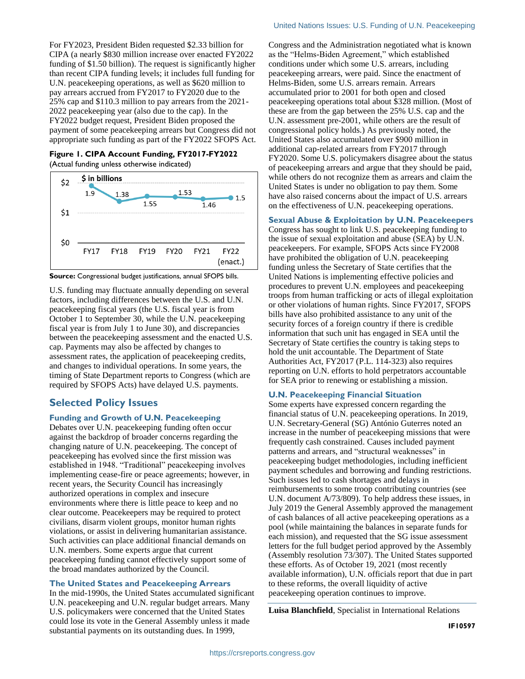For FY2023, President Biden requested \$2.33 billion for CIPA (a nearly \$830 million increase over enacted FY2022 funding of \$1.50 billion). The request is significantly higher than recent CIPA funding levels; it includes full funding for U.N. peacekeeping operations, as well as \$620 million to pay arrears accrued from FY2017 to FY2020 due to the 25% cap and \$110.3 million to pay arrears from the 2021- 2022 peacekeeping year (also due to the cap). In the FY2022 budget request, President Biden proposed the payment of some peacekeeping arrears but Congress did not appropriate such funding as part of the FY2022 SFOPS Act.

<span id="page-1-0"></span>**Figure 1. CIPA Account Funding, FY2017-FY2022** (Actual funding unless otherwise indicated)



**Source:** Congressional budget justifications, annual SFOPS bills.

U.S. funding may fluctuate annually depending on several factors, including differences between the U.S. and U.N. peacekeeping fiscal years (the U.S. fiscal year is from October 1 to September 30, while the U.N. peacekeeping fiscal year is from July 1 to June 30), and discrepancies between the peacekeeping assessment and the enacted U.S. cap. Payments may also be affected by changes to assessment rates, the application of peacekeeping credits, and changes to individual operations. In some years, the timing of State Department reports to Congress (which are required by SFOPS Acts) have delayed U.S. payments.

## **Selected Policy Issues**

## **Funding and Growth of U.N. Peacekeeping**

Debates over U.N. peacekeeping funding often occur against the backdrop of broader concerns regarding the changing nature of U.N. peacekeeping. The concept of peacekeeping has evolved since the first mission was established in 1948. "Traditional" peacekeeping involves implementing cease-fire or peace agreements; however, in recent years, the Security Council has increasingly authorized operations in complex and insecure environments where there is little peace to keep and no clear outcome. Peacekeepers may be required to protect civilians, disarm violent groups, monitor human rights violations, or assist in delivering humanitarian assistance. Such activities can place additional financial demands on U.N. members. Some experts argue that current peacekeeping funding cannot effectively support some of the broad mandates authorized by the Council.

## **The United States and Peacekeeping Arrears**

In the mid-1990s, the United States accumulated significant U.N. peacekeeping and U.N. regular budget arrears. Many U.S. policymakers were concerned that the United States could lose its vote in the General Assembly unless it made substantial payments on its outstanding dues. In 1999,

Congress and the Administration negotiated what is known as the "Helms-Biden Agreement," which established conditions under which some U.S. arrears, including peacekeeping arrears, were paid. Since the enactment of Helms-Biden, some U.S. arrears remain. Arrears accumulated prior to 2001 for both open and closed peacekeeping operations total about \$328 million. (Most of these are from the gap between the 25% U.S. cap and the U.N. assessment pre-2001, while others are the result of congressional policy holds.) As previously noted, the United States also accumulated over \$900 million in additional cap-related arrears from FY2017 through FY2020. Some U.S. policymakers disagree about the status of peacekeeping arrears and argue that they should be paid, while others do not recognize them as arrears and claim the United States is under no obligation to pay them. Some have also raised concerns about the impact of U.S. arrears on the effectiveness of U.N. peacekeeping operations.

## **Sexual Abuse & Exploitation by U.N. Peacekeepers**

Congress has sought to link U.S. peacekeeping funding to the issue of sexual exploitation and abuse (SEA) by U.N. peacekeepers. For example, SFOPS Acts since FY2008 have prohibited the obligation of U.N. peacekeeping funding unless the Secretary of State certifies that the United Nations is implementing effective policies and procedures to prevent U.N. employees and peacekeeping troops from human trafficking or acts of illegal exploitation or other violations of human rights. Since FY2017, SFOPS bills have also prohibited assistance to any unit of the security forces of a foreign country if there is credible information that such unit has engaged in SEA until the Secretary of State certifies the country is taking steps to hold the unit accountable. The Department of State Authorities Act, FY2017 (P.L. 114-323) also requires reporting on U.N. efforts to hold perpetrators accountable for SEA prior to renewing or establishing a mission.

## **U.N. Peacekeeping Financial Situation**

Some experts have expressed concern regarding the financial status of U.N. peacekeeping operations. In 2019, U.N. Secretary-General (SG) António Guterres noted an increase in the number of peacekeeping missions that were frequently cash constrained. Causes included payment patterns and arrears, and "structural weaknesses" in peacekeeping budget methodologies, including inefficient payment schedules and borrowing and funding restrictions. Such issues led to cash shortages and delays in reimbursements to some troop contributing countries (see U.N. document A/73/809). To help address these issues, in July 2019 the General Assembly approved the management of cash balances of all active peacekeeping operations as a pool (while maintaining the balances in separate funds for each mission), and requested that the SG issue assessment letters for the full budget period approved by the Assembly (Assembly resolution 73/307). The United States supported these efforts. As of October 19, 2021 (most recently available information), U.N. officials report that due in part to these reforms, the overall liquidity of active peacekeeping operation continues to improve.

**Luisa Blanchfield**, Specialist in International Relations